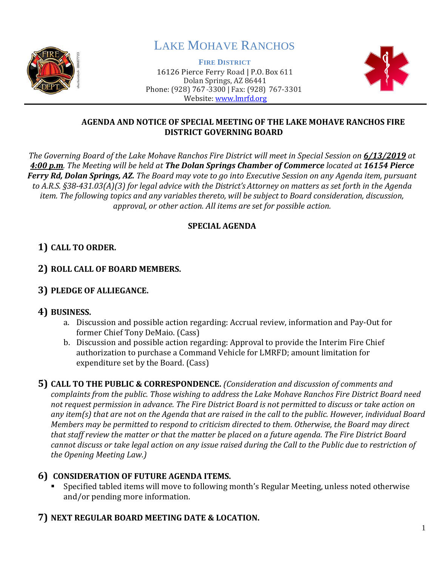

# LAKE MOHAVE RANCHOS

**FIRE DISTRICT** 16126 Pierce Ferry Road | P.O. Box 611 Dolan Springs, AZ 86441 Phone: (928) 767-3300 | Fax: (928) 767-3301 Website: [www.lmrfd.org](http://www.lmrfd.org/)



#### **AGENDA AND NOTICE OF SPECIAL MEETING OF THE LAKE MOHAVE RANCHOS FIRE DISTRICT GOVERNING BOARD**

*The Governing Board of the Lake Mohave Ranchos Fire District will meet in Special Session on 6/13/2019 at 4:00 p.m. The Meeting will be held at The Dolan Springs Chamber of Commerce located at 16154 Pierce Ferry Rd, Dolan Springs, AZ. The Board may vote to go into Executive Session on any Agenda item, pursuant to A.R.S. §38-431.03(A)(3) for legal advice with the District's Attorney on matters as set forth in the Agenda item. The following topics and any variables thereto, will be subject to Board consideration, discussion, approval, or other action. All items are set for possible action.*

#### **SPECIAL AGENDA**

# **1) CALL TO ORDER.**

# **2) ROLL CALL OF BOARD MEMBERS.**

# **3) PLEDGE OF ALLIEGANCE.**

# **4) BUSINESS.**

- a. Discussion and possible action regarding: Accrual review, information and Pay-Out for former Chief Tony DeMaio. (Cass)
- b. Discussion and possible action regarding: Approval to provide the Interim Fire Chief authorization to purchase a Command Vehicle for LMRFD; amount limitation for expenditure set by the Board. (Cass)

**5) CALL TO THE PUBLIC & CORRESPONDENCE.** *(Consideration and discussion of comments and complaints from the public. Those wishing to address the Lake Mohave Ranchos Fire District Board need not request permission in advance. The Fire District Board is not permitted to discuss or take action on any item(s) that are not on the Agenda that are raised in the call to the public. However, individual Board Members may be permitted to respond to criticism directed to them. Otherwise, the Board may direct that staff review the matter or that the matter be placed on a future agenda. The Fire District Board cannot discuss or take legal action on any issue raised during the Call to the Public due to restriction of the Opening Meeting Law.)*

# **6) CONSIDERATION OF FUTURE AGENDA ITEMS.**

Specified tabled items will move to following month's Regular Meeting, unless noted otherwise and/or pending more information.

#### **7) NEXT REGULAR BOARD MEETING DATE & LOCATION.**